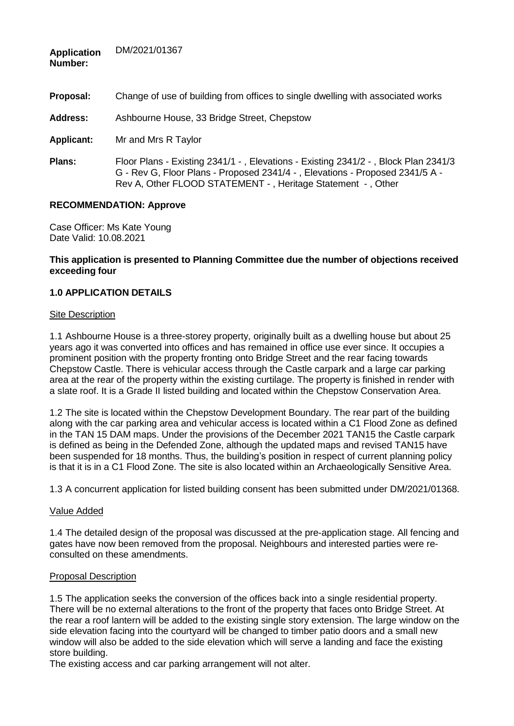| Number:         |                                                                                                                                                                                                                                   |
|-----------------|-----------------------------------------------------------------------------------------------------------------------------------------------------------------------------------------------------------------------------------|
| Proposal:       | Change of use of building from offices to single dwelling with associated works                                                                                                                                                   |
| <b>Address:</b> | Ashbourne House, 33 Bridge Street, Chepstow                                                                                                                                                                                       |
| Applicant:      | Mr and Mrs R Taylor                                                                                                                                                                                                               |
| <b>Plans:</b>   | Floor Plans - Existing 2341/1 -, Elevations - Existing 2341/2 -, Block Plan 2341/3<br>G - Rev G, Floor Plans - Proposed 2341/4 -, Elevations - Proposed 2341/5 A -<br>Rev A, Other FLOOD STATEMENT -, Heritage Statement -, Other |

### **RECOMMENDATION: Approve**

DM/2021/01367

Case Officer: Ms Kate Young Date Valid: 10.08.2021

#### **This application is presented to Planning Committee due the number of objections received exceeding four**

## **1.0 APPLICATION DETAILS**

#### Site Description

**Application**

1.1 Ashbourne House is a three-storey property, originally built as a dwelling house but about 25 years ago it was converted into offices and has remained in office use ever since. It occupies a prominent position with the property fronting onto Bridge Street and the rear facing towards Chepstow Castle. There is vehicular access through the Castle carpark and a large car parking area at the rear of the property within the existing curtilage. The property is finished in render with a slate roof. It is a Grade II listed building and located within the Chepstow Conservation Area.

1.2 The site is located within the Chepstow Development Boundary. The rear part of the building along with the car parking area and vehicular access is located within a C1 Flood Zone as defined in the TAN 15 DAM maps. Under the provisions of the December 2021 TAN15 the Castle carpark is defined as being in the Defended Zone, although the updated maps and revised TAN15 have been suspended for 18 months. Thus, the building's position in respect of current planning policy is that it is in a C1 Flood Zone. The site is also located within an Archaeologically Sensitive Area.

1.3 A concurrent application for listed building consent has been submitted under DM/2021/01368.

### Value Added

1.4 The detailed design of the proposal was discussed at the pre-application stage. All fencing and gates have now been removed from the proposal. Neighbours and interested parties were reconsulted on these amendments.

#### Proposal Description

1.5 The application seeks the conversion of the offices back into a single residential property. There will be no external alterations to the front of the property that faces onto Bridge Street. At the rear a roof lantern will be added to the existing single story extension. The large window on the side elevation facing into the courtyard will be changed to timber patio doors and a small new window will also be added to the side elevation which will serve a landing and face the existing store building.

The existing access and car parking arrangement will not alter.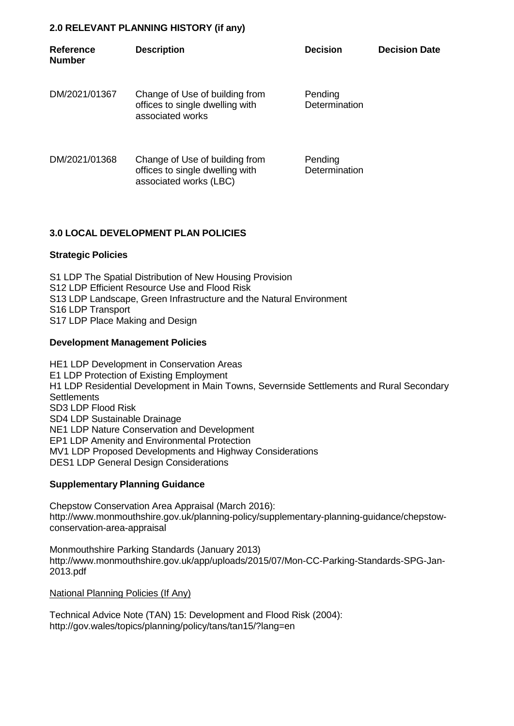### **2.0 RELEVANT PLANNING HISTORY (if any)**

| <b>Reference</b><br><b>Number</b> | <b>Description</b>                                                                          | <b>Decision</b>          | <b>Decision Date</b> |
|-----------------------------------|---------------------------------------------------------------------------------------------|--------------------------|----------------------|
| DM/2021/01367                     | Change of Use of building from<br>offices to single dwelling with<br>associated works       | Pending<br>Determination |                      |
| DM/2021/01368                     | Change of Use of building from<br>offices to single dwelling with<br>associated works (LBC) | Pending<br>Determination |                      |

## **3.0 LOCAL DEVELOPMENT PLAN POLICIES**

### **Strategic Policies**

S1 LDP The Spatial Distribution of New Housing Provision S12 LDP Efficient Resource Use and Flood Risk S13 LDP Landscape, Green Infrastructure and the Natural Environment S16 LDP Transport S17 LDP Place Making and Design

### **Development Management Policies**

HE1 LDP Development in Conservation Areas E1 LDP Protection of Existing Employment H1 LDP Residential Development in Main Towns, Severnside Settlements and Rural Secondary **Settlements** SD3 LDP Flood Risk SD4 LDP Sustainable Drainage NE1 LDP Nature Conservation and Development EP1 LDP Amenity and Environmental Protection MV1 LDP Proposed Developments and Highway Considerations DES1 LDP General Design Considerations

### **Supplementary Planning Guidance**

Chepstow Conservation Area Appraisal (March 2016): [http://www.monmouthshire.gov.uk/planning-policy/supplementary-planning-guidance/chepstow](http://www.monmouthshire.gov.uk/planning-policy/supplementary-planning-guidance/chepstow-)conservation-area-appraisal

Monmouthshire Parking Standards (January 2013) <http://www.monmouthshire.gov.uk/app/uploads/2015/07/Mon-CC-Parking-Standards-SPG-Jan->2013.pdf

National Planning Policies (If Any)

Technical Advice Note (TAN) 15: Development and Flood Risk (2004): <http://gov.wales/topics/planning/policy/tans/tan15/?lang=en>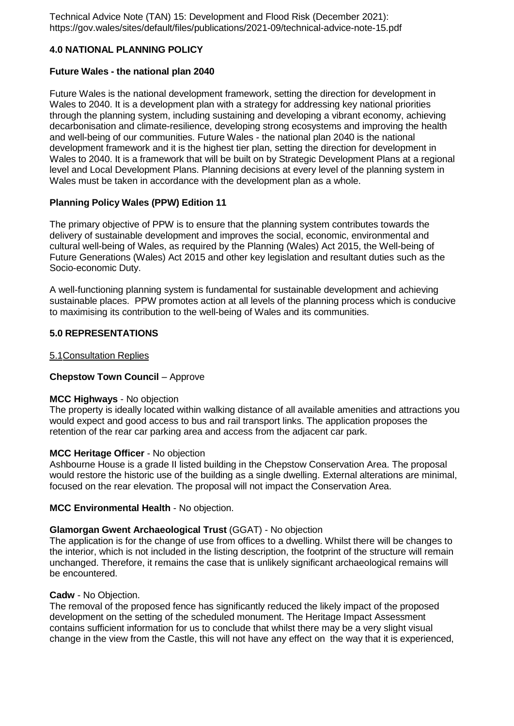Technical Advice Note (TAN) 15: Development and Flood Risk (December 2021): https://gov.wales/sites/default/files/publications/2021-09/technical-advice-note-15.pdf

### **4.0 NATIONAL PLANNING POLICY**

#### **Future Wales - the national plan 2040**

Future Wales is the national development framework, setting the direction for development in Wales to 2040. It is a development plan with a strategy for addressing key national priorities through the planning system, including sustaining and developing a vibrant economy, achieving decarbonisation and climate-resilience, developing strong ecosystems and improving the health and well-being of our communities. Future Wales - the national plan 2040 is the national development framework and it is the highest tier plan, setting the direction for development in Wales to 2040. It is a framework that will be built on by Strategic Development Plans at a regional level and Local Development Plans. Planning decisions at every level of the planning system in Wales must be taken in accordance with the development plan as a whole.

### **Planning Policy Wales (PPW) Edition 11**

The primary objective of PPW is to ensure that the planning system contributes towards the delivery of sustainable development and improves the social, economic, environmental and cultural well-being of Wales, as required by the Planning (Wales) Act 2015, the Well-being of Future Generations (Wales) Act 2015 and other key legislation and resultant duties such as the Socio-economic Duty.

A well-functioning planning system is fundamental for sustainable development and achieving sustainable places. PPW promotes action at all levels of the planning process which is conducive to maximising its contribution to the well-being of Wales and its communities.

### **5.0 REPRESENTATIONS**

#### 5.1Consultation Replies

### **Chepstow Town Council** – Approve

#### **MCC Highways** - No objection

The property is ideally located within walking distance of all available amenities and attractions you would expect and good access to bus and rail transport links. The application proposes the retention of the rear car parking area and access from the adjacent car park.

### **MCC Heritage Officer** - No objection

Ashbourne House is a grade II listed building in the Chepstow Conservation Area. The proposal would restore the historic use of the building as a single dwelling. External alterations are minimal, focused on the rear elevation. The proposal will not impact the Conservation Area.

### **MCC Environmental Health** - No objection.

### **Glamorgan Gwent Archaeological Trust** (GGAT) - No objection

The application is for the change of use from offices to a dwelling. Whilst there will be changes to the interior, which is not included in the listing description, the footprint of the structure will remain unchanged. Therefore, it remains the case that is unlikely significant archaeological remains will be encountered.

#### **Cadw** - No Objection.

The removal of the proposed fence has significantly reduced the likely impact of the proposed development on the setting of the scheduled monument. The Heritage Impact Assessment contains sufficient information for us to conclude that whilst there may be a very slight visual change in the view from the Castle, this will not have any effect on the way that it is experienced,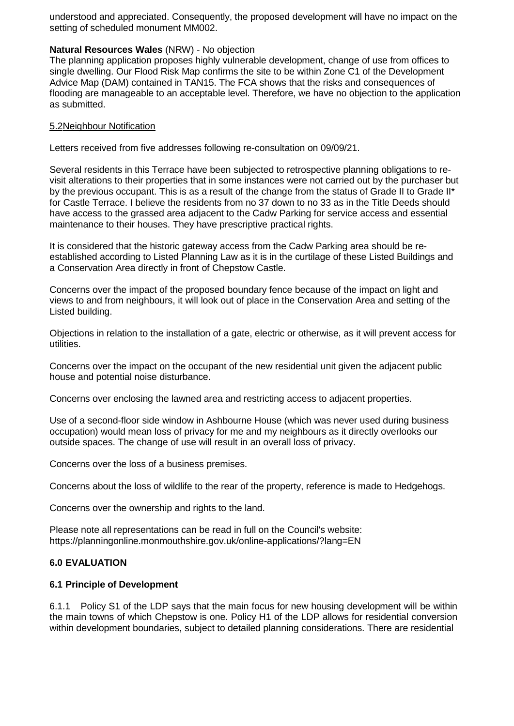understood and appreciated. Consequently, the proposed development will have no impact on the setting of scheduled monument MM002.

#### **Natural Resources Wales** (NRW) - No objection

The planning application proposes highly vulnerable development, change of use from offices to single dwelling. Our Flood Risk Map confirms the site to be within Zone C1 of the Development Advice Map (DAM) contained in TAN15. The FCA shows that the risks and consequences of flooding are manageable to an acceptable level. Therefore, we have no objection to the application as submitted.

#### 5.2Neighbour Notification

Letters received from five addresses following re-consultation on 09/09/21.

Several residents in this Terrace have been subjected to retrospective planning obligations to revisit alterations to their properties that in some instances were not carried out by the purchaser but by the previous occupant. This is as a result of the change from the status of Grade II to Grade II<sup>\*</sup> for Castle Terrace. I believe the residents from no 37 down to no 33 as in the Title Deeds should have access to the grassed area adjacent to the Cadw Parking for service access and essential maintenance to their houses. They have prescriptive practical rights.

It is considered that the historic gateway access from the Cadw Parking area should be reestablished according to Listed Planning Law as it is in the curtilage of these Listed Buildings and a Conservation Area directly in front of Chepstow Castle.

Concerns over the impact of the proposed boundary fence because of the impact on light and views to and from neighbours, it will look out of place in the Conservation Area and setting of the Listed building.

Objections in relation to the installation of a gate, electric or otherwise, as it will prevent access for utilities.

Concerns over the impact on the occupant of the new residential unit given the adjacent public house and potential noise disturbance.

Concerns over enclosing the lawned area and restricting access to adjacent properties.

Use of a second-floor side window in Ashbourne House (which was never used during business occupation) would mean loss of privacy for me and my neighbours as it directly overlooks our outside spaces. The change of use will result in an overall loss of privacy.

Concerns over the loss of a business premises.

Concerns about the loss of wildlife to the rear of the property, reference is made to Hedgehogs.

Concerns over the ownership and rights to the land.

Please note all representations can be read in full on the Council's website: https://planningonline.monmouthshire.gov.uk/online-applications/?lang=EN

## **6.0 EVALUATION**

### **6.1 Principle of Development**

6.1.1 Policy S1 of the LDP says that the main focus for new housing development will be within the main towns of which Chepstow is one. Policy H1 of the LDP allows for residential conversion within development boundaries, subject to detailed planning considerations. There are residential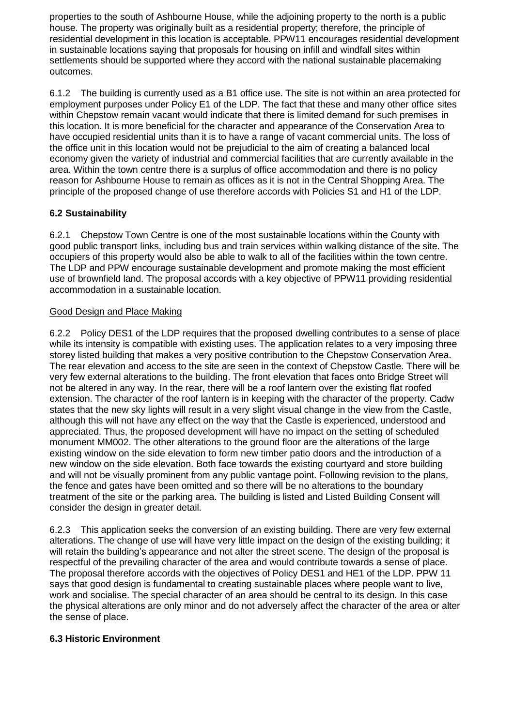properties to the south of Ashbourne House, while the adjoining property to the north is a public house. The property was originally built as a residential property; therefore, the principle of residential development in this location is acceptable. PPW11 encourages residential development in sustainable locations saying that proposals for housing on infill and windfall sites within settlements should be supported where they accord with the national sustainable placemaking outcomes.

6.1.2 The building is currently used as a B1 office use. The site is not within an area protected for employment purposes under Policy E1 of the LDP. The fact that these and many other office sites within Chepstow remain vacant would indicate that there is limited demand for such premises in this location. It is more beneficial for the character and appearance of the Conservation Area to have occupied residential units than it is to have a range of vacant commercial units. The loss of the office unit in this location would not be prejudicial to the aim of creating a balanced local economy given the variety of industrial and commercial facilities that are currently available in the area. Within the town centre there is a surplus of office accommodation and there is no policy reason for Ashbourne House to remain as offices as it is not in the Central Shopping Area. The principle of the proposed change of use therefore accords with Policies S1 and H1 of the LDP.

# **6.2 Sustainability**

6.2.1 Chepstow Town Centre is one of the most sustainable locations within the County with good public transport links, including bus and train services within walking distance of the site. The occupiers of this property would also be able to walk to all of the facilities within the town centre. The LDP and PPW encourage sustainable development and promote making the most efficient use of brownfield land. The proposal accords with a key objective of PPW11 providing residential accommodation in a sustainable location.

### Good Design and Place Making

6.2.2 Policy DES1 of the LDP requires that the proposed dwelling contributes to a sense of place while its intensity is compatible with existing uses. The application relates to a very imposing three storey listed building that makes a very positive contribution to the Chepstow Conservation Area. The rear elevation and access to the site are seen in the context of Chepstow Castle. There will be very few external alterations to the building. The front elevation that faces onto Bridge Street will not be altered in any way. In the rear, there will be a roof lantern over the existing flat roofed extension. The character of the roof lantern is in keeping with the character of the property. Cadw states that the new sky lights will result in a very slight visual change in the view from the Castle, although this will not have any effect on the way that the Castle is experienced, understood and appreciated. Thus, the proposed development will have no impact on the setting of scheduled monument MM002. The other alterations to the ground floor are the alterations of the large existing window on the side elevation to form new timber patio doors and the introduction of a new window on the side elevation. Both face towards the existing courtyard and store building and will not be visually prominent from any public vantage point. Following revision to the plans, the fence and gates have been omitted and so there will be no alterations to the boundary treatment of the site or the parking area. The building is listed and Listed Building Consent will consider the design in greater detail.

6.2.3 This application seeks the conversion of an existing building. There are very few external alterations. The change of use will have very little impact on the design of the existing building; it will retain the building's appearance and not alter the street scene. The design of the proposal is respectful of the prevailing character of the area and would contribute towards a sense of place. The proposal therefore accords with the objectives of Policy DES1 and HE1 of the LDP. PPW 11 says that good design is fundamental to creating sustainable places where people want to live, work and socialise. The special character of an area should be central to its design. In this case the physical alterations are only minor and do not adversely affect the character of the area or alter the sense of place.

## **6.3 Historic Environment**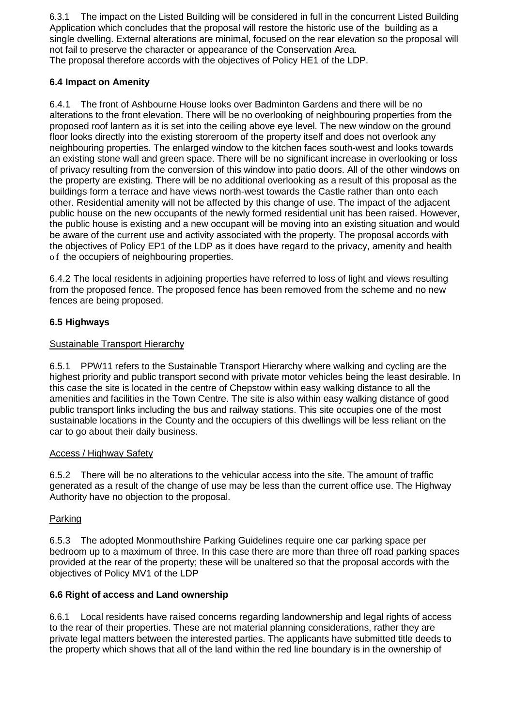6.3.1 The impact on the Listed Building will be considered in full in the concurrent Listed Building Application which concludes that the proposal will restore the historic use of the building as a single dwelling. External alterations are minimal, focused on the rear elevation so the proposal will not fail to preserve the character or appearance of the Conservation Area. The proposal therefore accords with the objectives of Policy HE1 of the LDP.

## **6.4 Impact on Amenity**

6.4.1 The front of Ashbourne House looks over Badminton Gardens and there will be no alterations to the front elevation. There will be no overlooking of neighbouring properties from the proposed roof lantern as it is set into the ceiling above eye level. The new window on the ground floor looks directly into the existing storeroom of the property itself and does not overlook any neighbouring properties. The enlarged window to the kitchen faces south-west and looks towards an existing stone wall and green space. There will be no significant increase in overlooking or loss of privacy resulting from the conversion of this window into patio doors. All of the other windows on the property are existing. There will be no additional overlooking as a result of this proposal as the buildings form a terrace and have views north-west towards the Castle rather than onto each other. Residential amenity will not be affected by this change of use. The impact of the adjacent public house on the new occupants of the newly formed residential unit has been raised. However, the public house is existing and a new occupant will be moving into an existing situation and would be aware of the current use and activity associated with the property. The proposal accords with the objectives of Policy EP1 of the LDP as it does have regard to the privacy, amenity and health o f the occupiers of neighbouring properties.

6.4.2 The local residents in adjoining properties have referred to loss of light and views resulting from the proposed fence. The proposed fence has been removed from the scheme and no new fences are being proposed.

# **6.5 Highways**

# Sustainable Transport Hierarchy

6.5.1 PPW11 refers to the Sustainable Transport Hierarchy where walking and cycling are the highest priority and public transport second with private motor vehicles being the least desirable. In this case the site is located in the centre of Chepstow within easy walking distance to all the amenities and facilities in the Town Centre. The site is also within easy walking distance of good public transport links including the bus and railway stations. This site occupies one of the most sustainable locations in the County and the occupiers of this dwellings will be less reliant on the car to go about their daily business.

## Access / Highway Safety

6.5.2 There will be no alterations to the vehicular access into the site. The amount of traffic generated as a result of the change of use may be less than the current office use. The Highway Authority have no objection to the proposal.

## Parking

6.5.3 The adopted Monmouthshire Parking Guidelines require one car parking space per bedroom up to a maximum of three. In this case there are more than three off road parking spaces provided at the rear of the property; these will be unaltered so that the proposal accords with the objectives of Policy MV1 of the LDP

## **6.6 Right of access and Land ownership**

6.6.1 Local residents have raised concerns regarding landownership and legal rights of access to the rear of their properties. These are not material planning considerations, rather they are private legal matters between the interested parties. The applicants have submitted title deeds to the property which shows that all of the land within the red line boundary is in the ownership of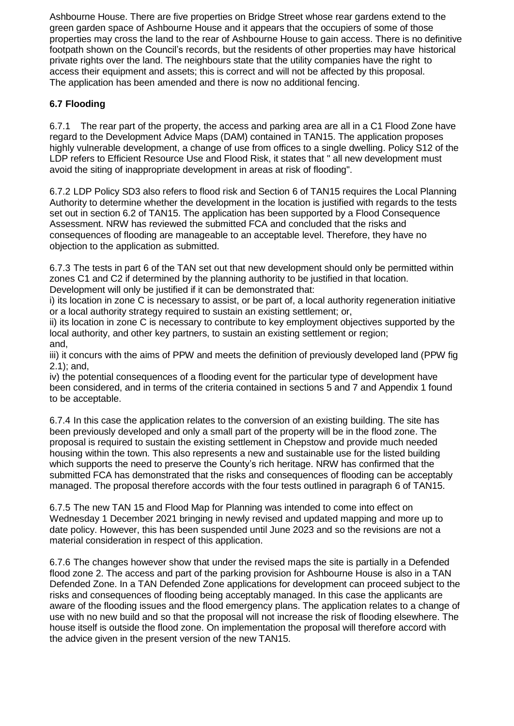Ashbourne House. There are five properties on Bridge Street whose rear gardens extend to the green garden space of Ashbourne House and it appears that the occupiers of some of those properties may cross the land to the rear of Ashbourne House to gain access. There is no definitive footpath shown on the Council's records, but the residents of other properties may have historical private rights over the land. The neighbours state that the utility companies have the right to access their equipment and assets; this is correct and will not be affected by this proposal. The application has been amended and there is now no additional fencing.

# **6.7 Flooding**

6.7.1 The rear part of the property, the access and parking area are all in a C1 Flood Zone have regard to the Development Advice Maps (DAM) contained in TAN15. The application proposes highly vulnerable development, a change of use from offices to a single dwelling. Policy S12 of the LDP refers to Efficient Resource Use and Flood Risk, it states that " all new development must avoid the siting of inappropriate development in areas at risk of flooding".

6.7.2 LDP Policy SD3 also refers to flood risk and Section 6 of TAN15 requires the Local Planning Authority to determine whether the development in the location is justified with regards to the tests set out in section 6.2 of TAN15. The application has been supported by a Flood Consequence Assessment. NRW has reviewed the submitted FCA and concluded that the risks and consequences of flooding are manageable to an acceptable level. Therefore, they have no objection to the application as submitted.

6.7.3 The tests in part 6 of the TAN set out that new development should only be permitted within zones C1 and C2 if determined by the planning authority to be justified in that location. Development will only be justified if it can be demonstrated that:

i) its location in zone C is necessary to assist, or be part of, a local authority regeneration initiative or a local authority strategy required to sustain an existing settlement; or,

ii) its location in zone C is necessary to contribute to key employment objectives supported by the local authority, and other key partners, to sustain an existing settlement or region; and,

iii) it concurs with the aims of PPW and meets the definition of previously developed land (PPW fig 2.1); and,

iv) the potential consequences of a flooding event for the particular type of development have been considered, and in terms of the criteria contained in sections 5 and 7 and Appendix 1 found to be acceptable.

6.7.4 In this case the application relates to the conversion of an existing building. The site has been previously developed and only a small part of the property will be in the flood zone. The proposal is required to sustain the existing settlement in Chepstow and provide much needed housing within the town. This also represents a new and sustainable use for the listed building which supports the need to preserve the County's rich heritage. NRW has confirmed that the submitted FCA has demonstrated that the risks and consequences of flooding can be acceptably managed. The proposal therefore accords with the four tests outlined in paragraph 6 of TAN15.

6.7.5 The new TAN 15 and Flood Map for Planning was intended to come into effect on Wednesday 1 December 2021 bringing in newly revised and updated mapping and more up to date policy. However, this has been suspended until June 2023 and so the revisions are not a material consideration in respect of this application.

6.7.6 The changes however show that under the revised maps the site is partially in a Defended flood zone 2. The access and part of the parking provision for Ashbourne House is also in a TAN Defended Zone. In a TAN Defended Zone applications for development can proceed subject to the risks and consequences of flooding being acceptably managed. In this case the applicants are aware of the flooding issues and the flood emergency plans. The application relates to a change of use with no new build and so that the proposal will not increase the risk of flooding elsewhere. The house itself is outside the flood zone. On implementation the proposal will therefore accord with the advice given in the present version of the new TAN15.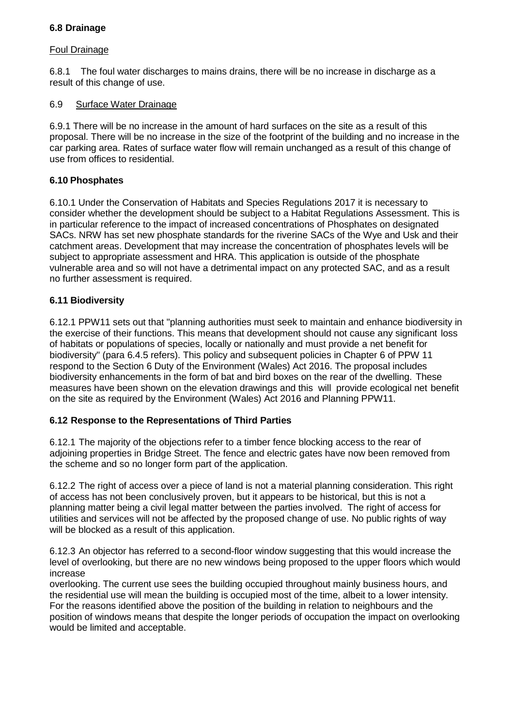### **6.8 Drainage**

### Foul Drainage

6.8.1 The foul water discharges to mains drains, there will be no increase in discharge as a result of this change of use.

### 6.9 Surface Water Drainage

6.9.1 There will be no increase in the amount of hard surfaces on the site as a result of this proposal. There will be no increase in the size of the footprint of the building and no increase in the car parking area. Rates of surface water flow will remain unchanged as a result of this change of use from offices to residential.

## **6.10 Phosphates**

6.10.1 Under the Conservation of Habitats and Species Regulations 2017 it is necessary to consider whether the development should be subject to a Habitat Regulations Assessment. This is in particular reference to the impact of increased concentrations of Phosphates on designated SACs. NRW has set new phosphate standards for the riverine SACs of the Wye and Usk and their catchment areas. Development that may increase the concentration of phosphates levels will be subject to appropriate assessment and HRA. This application is outside of the phosphate vulnerable area and so will not have a detrimental impact on any protected SAC, and as a result no further assessment is required.

### **6.11 Biodiversity**

6.12.1 PPW11 sets out that "planning authorities must seek to maintain and enhance biodiversity in the exercise of their functions. This means that development should not cause any significant loss of habitats or populations of species, locally or nationally and must provide a net benefit for biodiversity" (para 6.4.5 refers). This policy and subsequent policies in Chapter 6 of PPW 11 respond to the Section 6 Duty of the Environment (Wales) Act 2016. The proposal includes biodiversity enhancements in the form of bat and bird boxes on the rear of the dwelling. These measures have been shown on the elevation drawings and this will provide ecological net benefit on the site as required by the Environment (Wales) Act 2016 and Planning PPW11.

## **6.12 Response to the Representations of Third Parties**

6.12.1 The majority of the objections refer to a timber fence blocking access to the rear of adjoining properties in Bridge Street. The fence and electric gates have now been removed from the scheme and so no longer form part of the application.

6.12.2 The right of access over a piece of land is not a material planning consideration. This right of access has not been conclusively proven, but it appears to be historical, but this is not a planning matter being a civil legal matter between the parties involved. The right of access for utilities and services will not be affected by the proposed change of use. No public rights of way will be blocked as a result of this application.

6.12.3 An objector has referred to a second-floor window suggesting that this would increase the level of overlooking, but there are no new windows being proposed to the upper floors which would increase

overlooking. The current use sees the building occupied throughout mainly business hours, and the residential use will mean the building is occupied most of the time, albeit to a lower intensity. For the reasons identified above the position of the building in relation to neighbours and the position of windows means that despite the longer periods of occupation the impact on overlooking would be limited and acceptable.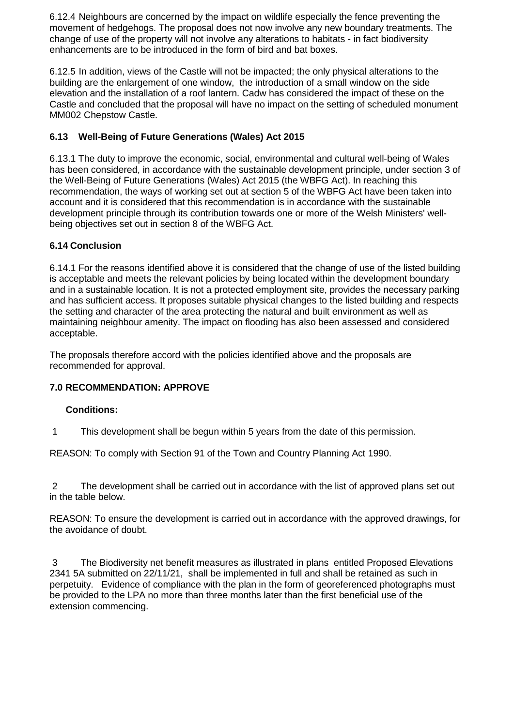6.12.4 Neighbours are concerned by the impact on wildlife especially the fence preventing the movement of hedgehogs. The proposal does not now involve any new boundary treatments. The change of use of the property will not involve any alterations to habitats - in fact biodiversity enhancements are to be introduced in the form of bird and bat boxes.

6.12.5 In addition, views of the Castle will not be impacted; the only physical alterations to the building are the enlargement of one window, the introduction of a small window on the side elevation and the installation of a roof lantern. Cadw has considered the impact of these on the Castle and concluded that the proposal will have no impact on the setting of scheduled monument MM002 Chepstow Castle.

# **6.13 Well-Being of Future Generations (Wales) Act 2015**

6.13.1 The duty to improve the economic, social, environmental and cultural well-being of Wales has been considered, in accordance with the sustainable development principle, under section 3 of the Well-Being of Future Generations (Wales) Act 2015 (the WBFG Act). In reaching this recommendation, the ways of working set out at section 5 of the WBFG Act have been taken into account and it is considered that this recommendation is in accordance with the sustainable development principle through its contribution towards one or more of the Welsh Ministers' wellbeing objectives set out in section 8 of the WBFG Act.

## **6.14 Conclusion**

6.14.1 For the reasons identified above it is considered that the change of use of the listed building is acceptable and meets the relevant policies by being located within the development boundary and in a sustainable location. It is not a protected employment site, provides the necessary parking and has sufficient access. It proposes suitable physical changes to the listed building and respects the setting and character of the area protecting the natural and built environment as well as maintaining neighbour amenity. The impact on flooding has also been assessed and considered acceptable.

The proposals therefore accord with the policies identified above and the proposals are recommended for approval.

## **7.0 RECOMMENDATION: APPROVE**

### **Conditions:**

1 This development shall be begun within 5 years from the date of this permission.

REASON: To comply with Section 91 of the Town and Country Planning Act 1990.

2 The development shall be carried out in accordance with the list of approved plans set out in the table below.

REASON: To ensure the development is carried out in accordance with the approved drawings, for the avoidance of doubt.

3 The Biodiversity net benefit measures as illustrated in plans entitled Proposed Elevations 2341 5A submitted on 22/11/21, shall be implemented in full and shall be retained as such in perpetuity. Evidence of compliance with the plan in the form of georeferenced photographs must be provided to the LPA no more than three months later than the first beneficial use of the extension commencing.